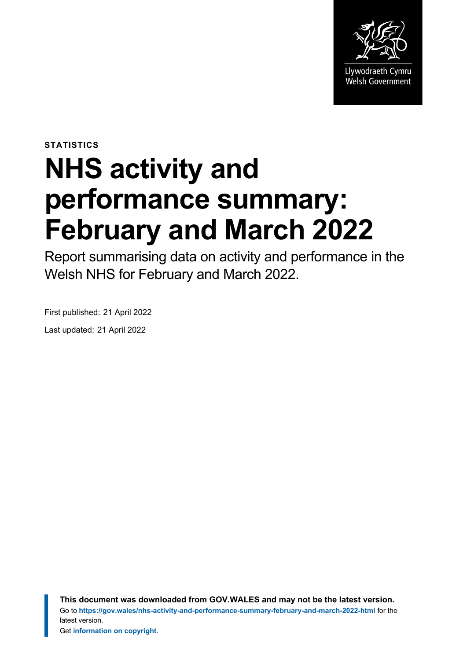

**STATISTICS**

# **NHS activity and performance summary: February and March 2022**

Report summarising data on activity and performance in the Welsh NHS for February and March 2022.

First published: 21 April 2022

Last updated: 21 April 2022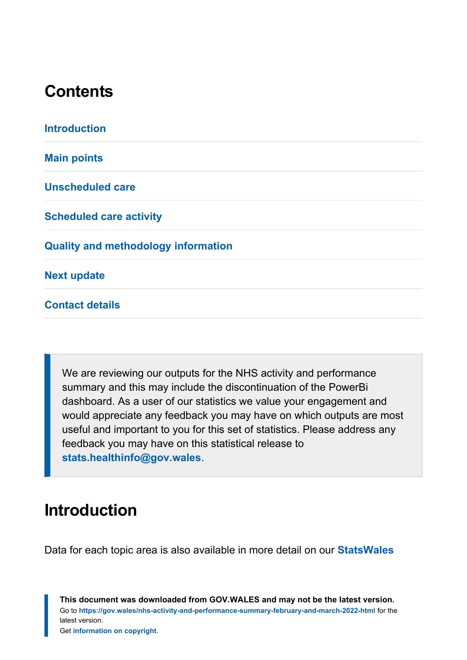# **Contents**

**[Introduction](#page-1-0) [Main points](#page-2-0) [Unscheduled care](#page-3-0) [Scheduled care activity](#page-10-0) [Quality and methodology information](#page-22-0) [Next update](#page-23-0)**

**[Contact details](#page-23-1)**

We are reviewing our outputs for the NHS activity and performance summary and this may include the discontinuation of the PowerBi dashboard. As a user of our statistics we value your engagement and would appreciate any feedback you may have on which outputs are most useful and important to you for this set of statistics. Please address any feedback you may have on this statistical release to **[stats.healthinfo@gov.wales](mailto:stats.healthinfo@gov.wales)**.

# <span id="page-1-0"></span>**Introduction**

Data for each topic area is also available in more detail on our **[StatsWales](https://statswales.gov.wales/Catalogue/Health-and-Social-Care/NHS-Hospital-Waiting-Times/Accident-and-Emergency/accidentemergencyattendances-by-age-sex-site)**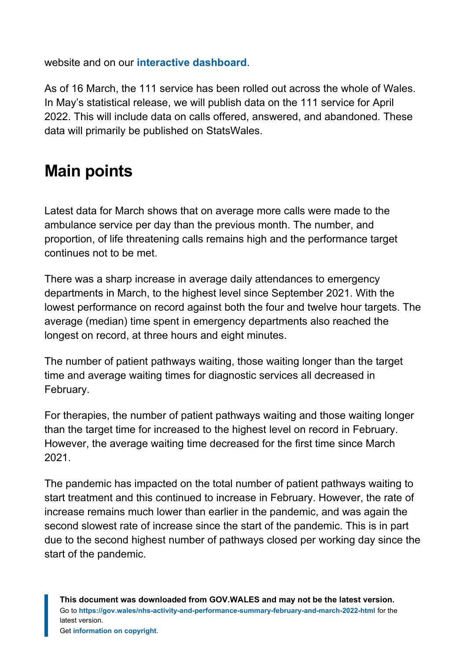website and on our **[interactive dashboard](https://gov.wales/nhs-activity-and-performance-summary)**.

As of 16 March, the 111 service has been rolled out across the whole of Wales. In May's statistical release, we will publish data on the 111 service for April 2022. This will include data on calls offered, answered, and abandoned. These data will primarily be published on StatsWales.

# <span id="page-2-0"></span>**Main points**

Latest data for March shows that on average more calls were made to the ambulance service per day than the previous month. The number, and proportion, of life threatening calls remains high and the performance target continues not to be met.

There was a sharp increase in average daily attendances to emergency departments in March, to the highest level since September 2021. With the lowest performance on record against both the four and twelve hour targets. The average (median) time spent in emergency departments also reached the longest on record, at three hours and eight minutes.

The number of patient pathways waiting, those waiting longer than the target time and average waiting times for diagnostic services all decreased in February.

For therapies, the number of patient pathways waiting and those waiting longer than the target time for increased to the highest level on record in February. However, the average waiting time decreased for the first time since March 2021.

The pandemic has impacted on the total number of patient pathways waiting to start treatment and this continued to increase in February. However, the rate of increase remains much lower than earlier in the pandemic, and was again the second slowest rate of increase since the start of the pandemic. This is in part due to the second highest number of pathways closed per working day since the start of the pandemic.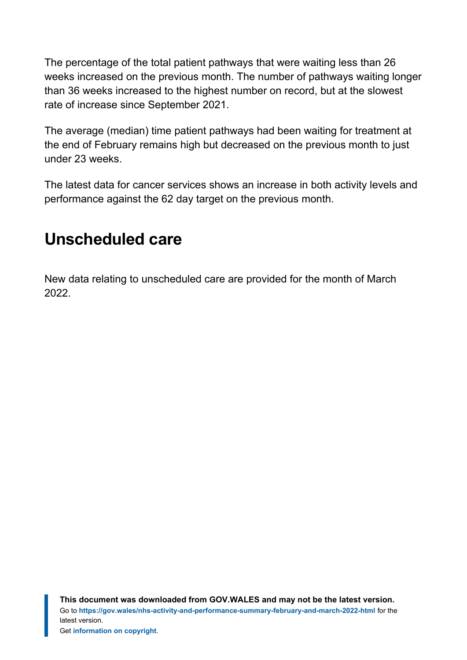The percentage of the total patient pathways that were waiting less than 26 weeks increased on the previous month. The number of pathways waiting longer than 36 weeks increased to the highest number on record, but at the slowest rate of increase since September 2021.

The average (median) time patient pathways had been waiting for treatment at the end of February remains high but decreased on the previous month to just under 23 weeks.

The latest data for cancer services shows an increase in both activity levels and performance against the 62 day target on the previous month.

# <span id="page-3-0"></span>**Unscheduled care**

New data relating to unscheduled care are provided for the month of March 2022.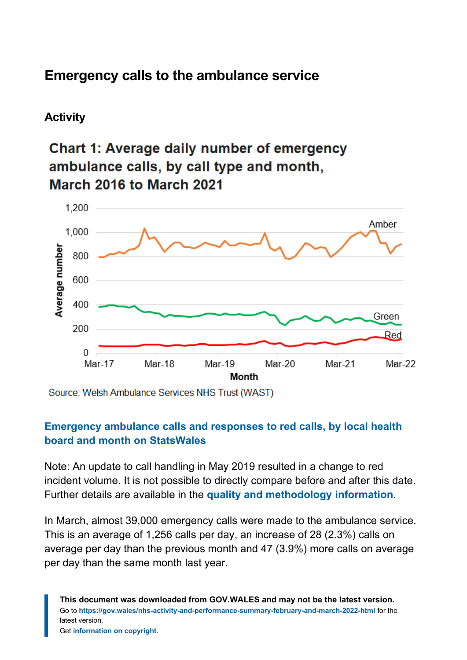### **Emergency calls to the ambulance service**

### **Activity**

### **Chart 1: Average daily number of emergency** ambulance calls, by call type and month, March 2016 to March 2021



Source: Welsh Ambulance Services NHS Trust (WAST)

#### **[Emergency ambulance calls and responses to red calls, by local health](https://statswales.gov.wales/Catalogue/Health-and-Social-Care/NHS-Performance/Ambulance-Services/emergencyambulancecallsandresponsestoredcalls-by-lhb-month?_ga=2.71653658.805453853.1647849266-1086771297.1619441781) [board and month on StatsWales](https://statswales.gov.wales/Catalogue/Health-and-Social-Care/NHS-Performance/Ambulance-Services/emergencyambulancecallsandresponsestoredcalls-by-lhb-month?_ga=2.71653658.805453853.1647849266-1086771297.1619441781)**

Note: An update to call handling in May 2019 resulted in a change to red incident volume. It is not possible to directly compare before and after this date. Further details are available in the **[quality and methodology information](#page-22-0)**.

In March, almost 39,000 emergency calls were made to the ambulance service. This is an average of 1,256 calls per day, an increase of 28 (2.3%) calls on average per day than the previous month and 47 (3.9%) more calls on average per day than the same month last year.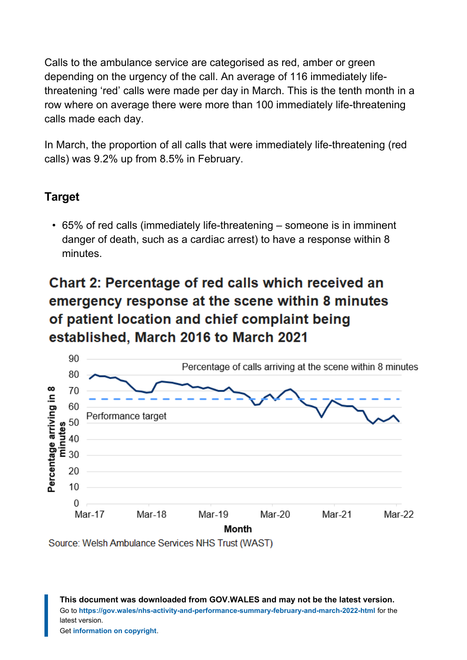Calls to the ambulance service are categorised as red, amber or green depending on the urgency of the call. An average of 116 immediately lifethreatening 'red' calls were made per day in March. This is the tenth month in a row where on average there were more than 100 immediately life-threatening calls made each day.

In March, the proportion of all calls that were immediately life-threatening (red calls) was 9.2% up from 8.5% in February.

### **Target**

• 65% of red calls (immediately life-threatening – someone is in imminent danger of death, such as a cardiac arrest) to have a response within 8 minutes.

# **Chart 2: Percentage of red calls which received an** emergency response at the scene within 8 minutes of patient location and chief complaint being established, March 2016 to March 2021



Source: Welsh Ambulance Services NHS Trust (WAST)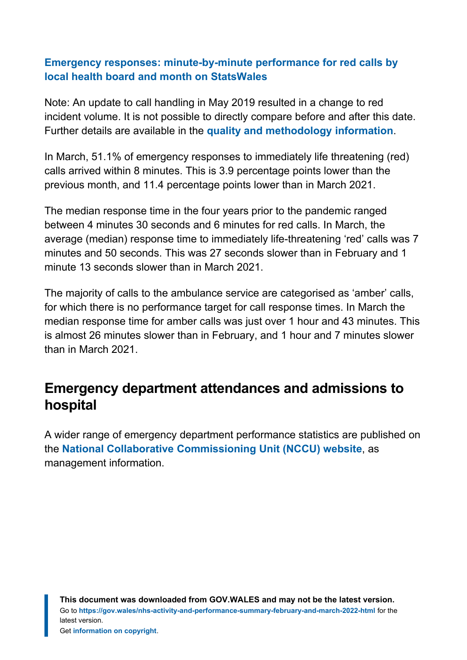#### **[Emergency responses: minute-by-minute performance for red calls by](https://statswales.gov.wales/Catalogue/Health-and-Social-Care/NHS-Performance/Ambulance-Services/emergencyresponsesminutebyminuteperformanceredcalls-by-localhealthboard-month?_ga=2.177336620.805453853.1647849266-1086771297.1619441781) [local health board and month on StatsWales](https://statswales.gov.wales/Catalogue/Health-and-Social-Care/NHS-Performance/Ambulance-Services/emergencyresponsesminutebyminuteperformanceredcalls-by-localhealthboard-month?_ga=2.177336620.805453853.1647849266-1086771297.1619441781)**

Note: An update to call handling in May 2019 resulted in a change to red incident volume. It is not possible to directly compare before and after this date. Further details are available in the **[quality and methodology information](#page-22-0)**.

In March, 51.1% of emergency responses to immediately life threatening (red) calls arrived within 8 minutes. This is 3.9 percentage points lower than the previous month, and 11.4 percentage points lower than in March 2021.

The median response time in the four years prior to the pandemic ranged between 4 minutes 30 seconds and 6 minutes for red calls. In March, the average (median) response time to immediately life-threatening 'red' calls was 7 minutes and 50 seconds. This was 27 seconds slower than in February and 1 minute 13 seconds slower than in March 2021.

The majority of calls to the ambulance service are categorised as 'amber' calls, for which there is no performance target for call response times. In March the median response time for amber calls was just over 1 hour and 43 minutes. This is almost 26 minutes slower than in February, and 1 hour and 7 minutes slower than in March 2021.

### **Emergency department attendances and admissions to hospital**

A wider range of emergency department performance statistics are published on the **[National Collaborative Commissioning Unit](https://nccu.nhs.wales/urgent-and-emergency-care/experimental-kpis/) (NCCU) website**, as management information.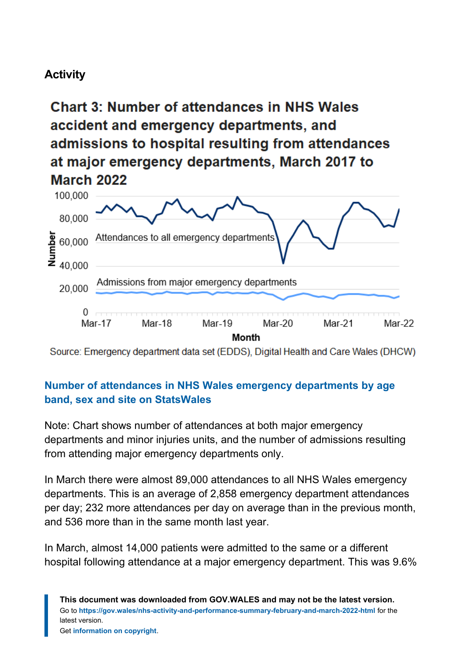### **Activity**

**Chart 3: Number of attendances in NHS Wales** accident and emergency departments, and admissions to hospital resulting from attendances at major emergency departments, March 2017 to **March 2022** 



Source: Emergency department data set (EDDS), Digital Health and Care Wales (DHCW)

#### **[Number of attendances in NHS Wales emergency departments by age](https://statswales.gov.wales/Catalogue/Health-and-Social-Care/NHS-Hospital-Waiting-Times/Emergency-department/emergencydepartmentattendances-by-age-sex-site) [band, sex and site on StatsWales](https://statswales.gov.wales/Catalogue/Health-and-Social-Care/NHS-Hospital-Waiting-Times/Emergency-department/emergencydepartmentattendances-by-age-sex-site)**

Note: Chart shows number of attendances at both major emergency departments and minor injuries units, and the number of admissions resulting from attending major emergency departments only.

In March there were almost 89,000 attendances to all NHS Wales emergency departments. This is an average of 2,858 emergency department attendances per day; 232 more attendances per day on average than in the previous month, and 536 more than in the same month last year.

In March, almost 14,000 patients were admitted to the same or a different hospital following attendance at a major emergency department. This was 9.6%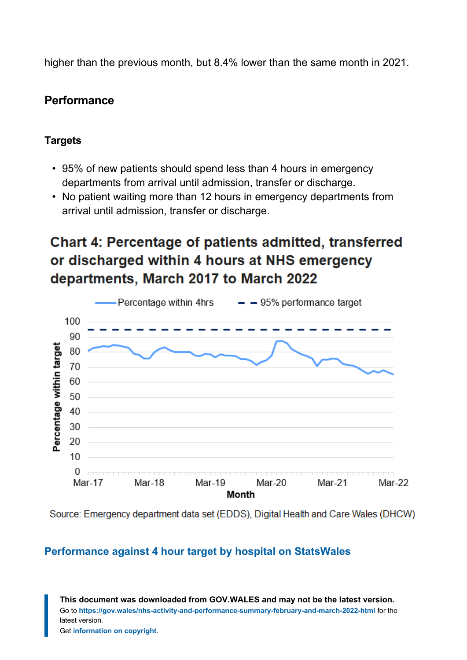higher than the previous month, but 8.4% lower than the same month in 2021.

### **Performance**

#### **Targets**

- 95% of new patients should spend less than 4 hours in emergency departments from arrival until admission, transfer or discharge.
- No patient waiting more than 12 hours in emergency departments from arrival until admission, transfer or discharge.

# **Chart 4: Percentage of patients admitted, transferred** or discharged within 4 hours at NHS emergency departments, March 2017 to March 2022



Source: Emergency department data set (EDDS), Digital Health and Care Wales (DHCW)

#### **[Performance against 4 hour target by hospital on StatsWales](https://statswales.gov.wales/Catalogue/Health-and-Social-Care/NHS-Hospital-Waiting-Times/Emergency-department/performanceagainst4hourwaitingtimestarget-by-hospital?_ga=2.139563450.805453853.1647849266-1086771297.1619441781)**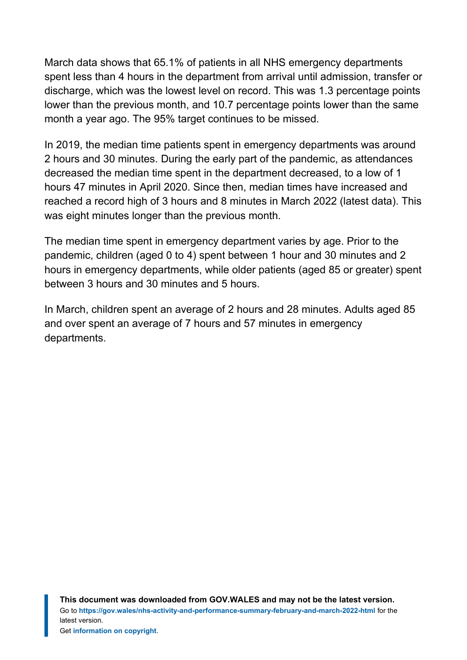March data shows that 65.1% of patients in all NHS emergency departments spent less than 4 hours in the department from arrival until admission, transfer or discharge, which was the lowest level on record. This was 1.3 percentage points lower than the previous month, and 10.7 percentage points lower than the same month a year ago. The 95% target continues to be missed.

In 2019, the median time patients spent in emergency departments was around 2 hours and 30 minutes. During the early part of the pandemic, as attendances decreased the median time spent in the department decreased, to a low of 1 hours 47 minutes in April 2020. Since then, median times have increased and reached a record high of 3 hours and 8 minutes in March 2022 (latest data). This was eight minutes longer than the previous month.

The median time spent in emergency department varies by age. Prior to the pandemic, children (aged 0 to 4) spent between 1 hour and 30 minutes and 2 hours in emergency departments, while older patients (aged 85 or greater) spent between 3 hours and 30 minutes and 5 hours.

In March, children spent an average of 2 hours and 28 minutes. Adults aged 85 and over spent an average of 7 hours and 57 minutes in emergency departments.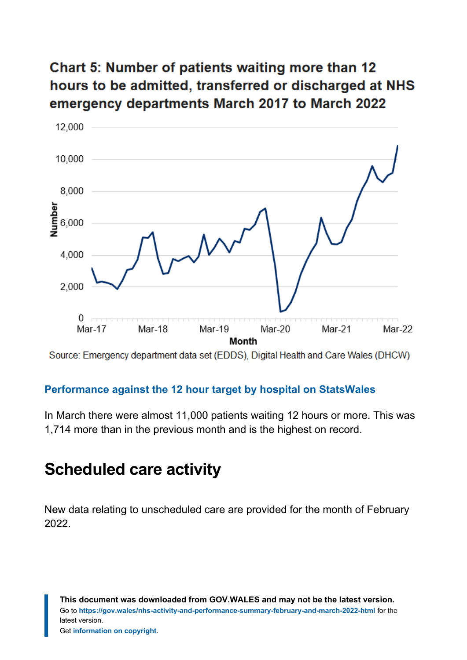### **Chart 5: Number of patients waiting more than 12** hours to be admitted, transferred or discharged at NHS emergency departments March 2017 to March 2022



Source: Emergency department data set (EDDS), Digital Health and Care Wales (DHCW)

#### **[Performance against the 12 hour target by hospital on StatsWales](https://statswales.gov.wales/Catalogue/Health-and-Social-Care/NHS-Hospital-Waiting-Times/Emergency-department/performanceagainst12hourwaitingtimestarget-by-hospital)**

In March there were almost 11,000 patients waiting 12 hours or more. This was 1,714 more than in the previous month and is the highest on record.

### <span id="page-10-0"></span>**Scheduled care activity**

New data relating to unscheduled care are provided for the month of February 2022.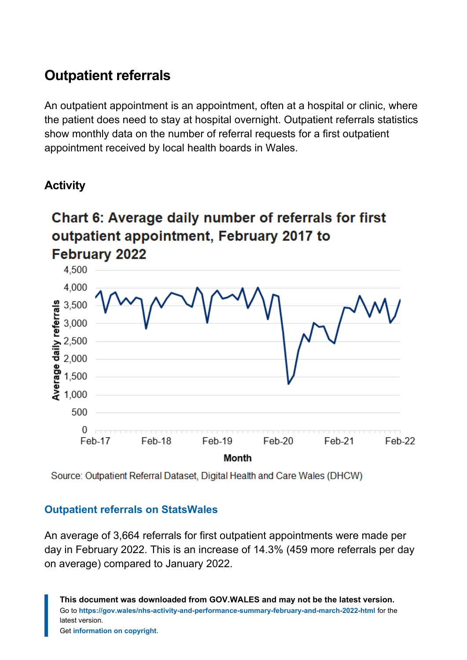### **Outpatient referrals**

An outpatient appointment is an appointment, often at a hospital or clinic, where the patient does need to stay at hospital overnight. Outpatient referrals statistics show monthly data on the number of referral requests for a first outpatient appointment received by local health boards in Wales.

### **Activity**

# Chart 6: Average daily number of referrals for first outpatient appointment, February 2017 to **February 2022**



Source: Outpatient Referral Dataset, Digital Health and Care Wales (DHCW)

#### **[Outpatient referrals on StatsWales](https://statswales.gov.wales/Catalogue/Health-and-Social-Care/NHS-Hospital-Activity/Referrals?_ga=2.72325530.805453853.1647849266-1086771297.1619441781)**

An average of 3,664 referrals for first outpatient appointments were made per day in February 2022. This is an increase of 14.3% (459 more referrals per day on average) compared to January 2022.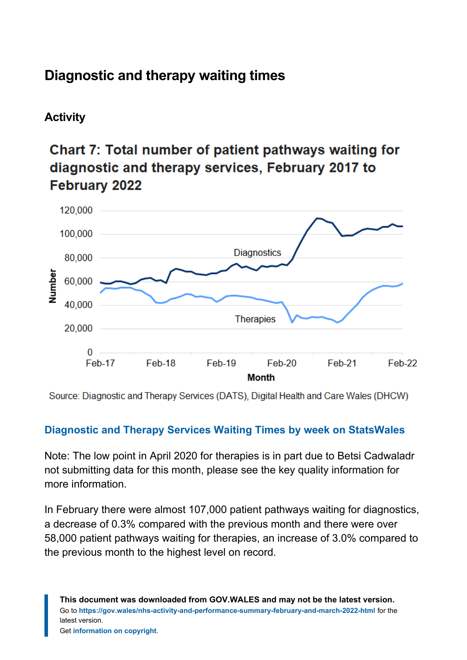# **Diagnostic and therapy waiting times**

### **Activity**

# Chart 7: Total number of patient pathways waiting for diagnostic and therapy services. February 2017 to **February 2022**



Source: Diagnostic and Therapy Services (DATS), Digital Health and Care Wales (DHCW)

#### **[Diagnostic and Therapy Services Waiting Times by week on StatsWales](https://statswales.gov.wales/Catalogue/Health-and-Social-Care/NHS-Hospital-Waiting-Times/Diagnostic-and-Therapy-Services/waitingtimes-by-weekswait-hospital)**

Note: The low point in April 2020 for therapies is in part due to Betsi Cadwaladr not submitting data for this month, please see the key quality information for more information.

In February there were almost 107,000 patient pathways waiting for diagnostics, a decrease of 0.3% compared with the previous month and there were over 58,000 patient pathways waiting for therapies, an increase of 3.0% compared to the previous month to the highest level on record.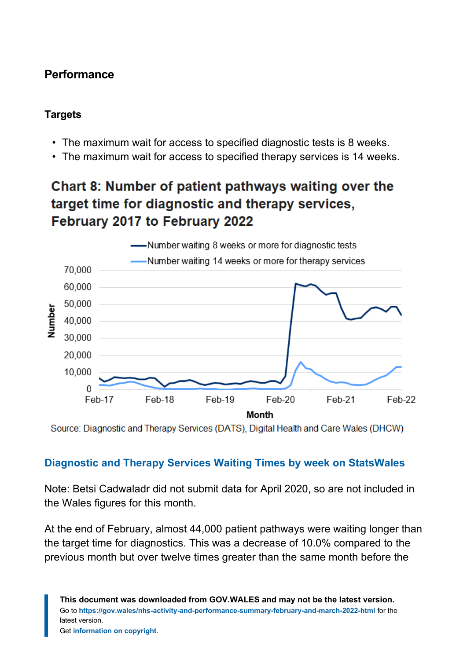### **Performance**

#### **Targets**

- The maximum wait for access to specified diagnostic tests is 8 weeks.
- The maximum wait for access to specified therapy services is 14 weeks.

### Chart 8: Number of patient pathways waiting over the target time for diagnostic and therapy services, February 2017 to February 2022



Source: Diagnostic and Therapy Services (DATS), Digital Health and Care Wales (DHCW)

#### **[Diagnostic and Therapy Services Waiting Times by week on StatsWales](https://statswales.gov.wales/Catalogue/Health-and-Social-Care/NHS-Hospital-Waiting-Times/Diagnostic-and-Therapy-Services/waitingtimes-by-weekswait-hospital)**

Note: Betsi Cadwaladr did not submit data for April 2020, so are not included in the Wales figures for this month.

At the end of February, almost 44,000 patient pathways were waiting longer than the target time for diagnostics. This was a decrease of 10.0% compared to the previous month but over twelve times greater than the same month before the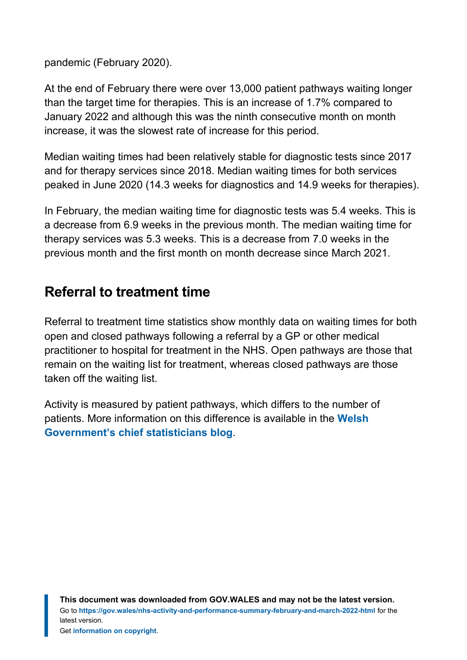pandemic (February 2020).

At the end of February there were over 13,000 patient pathways waiting longer than the target time for therapies. This is an increase of 1.7% compared to January 2022 and although this was the ninth consecutive month on month increase, it was the slowest rate of increase for this period.

Median waiting times had been relatively stable for diagnostic tests since 2017 and for therapy services since 2018. Median waiting times for both services peaked in June 2020 (14.3 weeks for diagnostics and 14.9 weeks for therapies).

In February, the median waiting time for diagnostic tests was 5.4 weeks. This is a decrease from 6.9 weeks in the previous month. The median waiting time for therapy services was 5.3 weeks. This is a decrease from 7.0 weeks in the previous month and the first month on month decrease since March 2021.

### **Referral to treatment time**

Referral to treatment time statistics show monthly data on waiting times for both open and closed pathways following a referral by a GP or other medical practitioner to hospital for treatment in the NHS. Open pathways are those that remain on the waiting list for treatment, whereas closed pathways are those taken off the waiting list.

Activity is measured by patient pathways, which differs to the number of patients. More information on this difference is available in the **[Welsh](https://digitalanddata.blog.gov.wales/2022/03/22/chief-statisticians-update-explaining-nhs-activity-and-performance-statistics/) [Government's chief statisticians](https://digitalanddata.blog.gov.wales/2022/03/22/chief-statisticians-update-explaining-nhs-activity-and-performance-statistics/) blog**.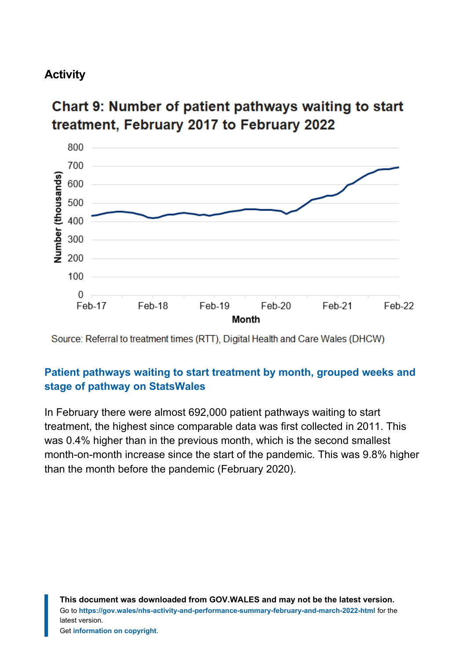### **Activity**

### **Chart 9: Number of patient pathways waiting to start** treatment, February 2017 to February 2022



Source: Referral to treatment times (RTT), Digital Health and Care Wales (DHCW)

#### **[Patient pathways waiting to start treatment by month, grouped weeks and](https://statswales.gov.wales/Catalogue/Health-and-Social-Care/NHS-Hospital-Waiting-Times/Referral-to-Treatment/patientpathwayswaitingtostarttreatment-by-month-groupedweeks) [stage of pathway on StatsWales](https://statswales.gov.wales/Catalogue/Health-and-Social-Care/NHS-Hospital-Waiting-Times/Referral-to-Treatment/patientpathwayswaitingtostarttreatment-by-month-groupedweeks)**

In February there were almost 692,000 patient pathways waiting to start treatment, the highest since comparable data was first collected in 2011. This was 0.4% higher than in the previous month, which is the second smallest month-on-month increase since the start of the pandemic. This was 9.8% higher than the month before the pandemic (February 2020).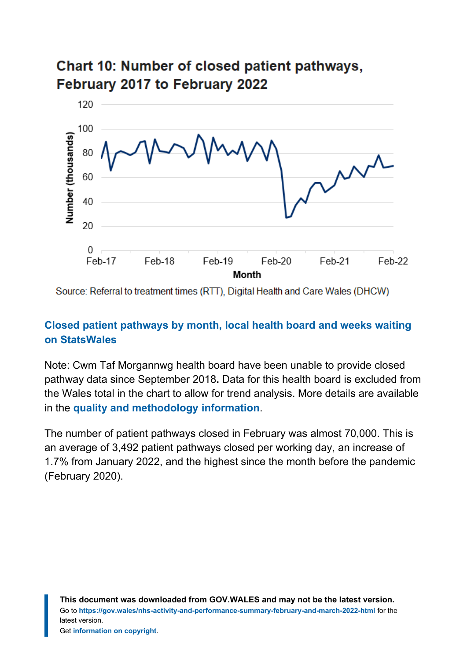### Chart 10: Number of closed patient pathways, February 2017 to February 2022



Source: Referral to treatment times (RTT), Digital Health and Care Wales (DHCW)

#### **[Closed patient pathways by month, local health board and weeks waiting](https://statswales.gov.wales/Catalogue/Health-and-Social-Care/NHS-Hospital-Waiting-Times/Referral-to-Treatment/treatedpatients-by-month-localhealthboard-weekswaiting) [on StatsWales](https://statswales.gov.wales/Catalogue/Health-and-Social-Care/NHS-Hospital-Waiting-Times/Referral-to-Treatment/treatedpatients-by-month-localhealthboard-weekswaiting)**

Note: Cwm Taf Morgannwg health board have been unable to provide closed pathway data since September 2018**.** Data for this health board is excluded from the Wales total in the chart to allow for trend analysis. More details are available in the **[quality and methodology information](#page-22-0)**.

The number of patient pathways closed in February was almost 70,000. This is an average of 3,492 patient pathways closed per working day, an increase of 1.7% from January 2022, and the highest since the month before the pandemic (February 2020).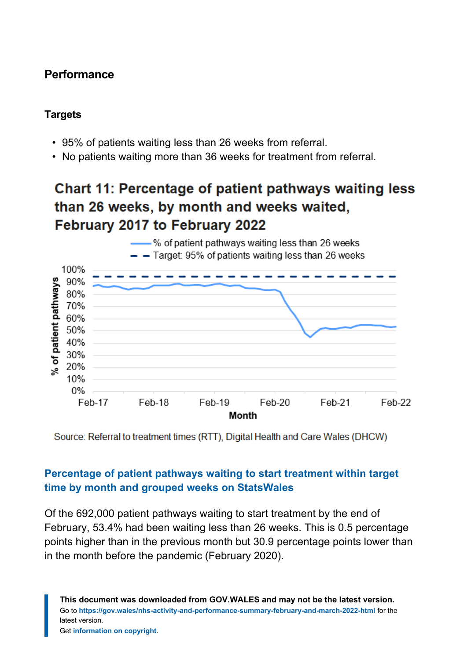### **Performance**

#### **Targets**

- 95% of patients waiting less than 26 weeks from referral.
- No patients waiting more than 36 weeks for treatment from referral.

### **Chart 11: Percentage of patient pathways waiting less** than 26 weeks, by month and weeks waited, February 2017 to February 2022



Source: Referral to treatment times (RTT), Digital Health and Care Wales (DHCW)

#### **[Percentage of patient pathways waiting to start treatment within target](https://statswales.gov.wales/Catalogue/Health-and-Social-Care/NHS-Hospital-Waiting-Times/Referral-to-Treatment/percentage-patientpathwayswaiting-month-grouped-weeks) [time by month and grouped weeks on StatsWales](https://statswales.gov.wales/Catalogue/Health-and-Social-Care/NHS-Hospital-Waiting-Times/Referral-to-Treatment/percentage-patientpathwayswaiting-month-grouped-weeks)**

Of the 692,000 patient pathways waiting to start treatment by the end of February, 53.4% had been waiting less than 26 weeks. This is 0.5 percentage points higher than in the previous month but 30.9 percentage points lower than in the month before the pandemic (February 2020).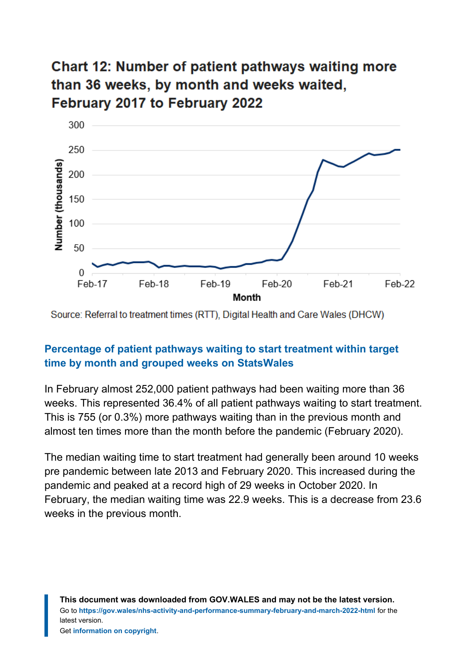### **Chart 12: Number of patient pathways waiting more** than 36 weeks, by month and weeks waited, February 2017 to February 2022



Source: Referral to treatment times (RTT). Digital Health and Care Wales (DHCW)

#### **[Percentage of patient pathways waiting to start treatment within target](https://statswales.gov.wales/Catalogue/Health-and-Social-Care/NHS-Hospital-Waiting-Times/Referral-to-Treatment/percentage-patientpathwayswaiting-month-grouped-weeks) [time by month and grouped weeks on StatsWales](https://statswales.gov.wales/Catalogue/Health-and-Social-Care/NHS-Hospital-Waiting-Times/Referral-to-Treatment/percentage-patientpathwayswaiting-month-grouped-weeks)**

In February almost 252,000 patient pathways had been waiting more than 36 weeks. This represented 36.4% of all patient pathways waiting to start treatment. This is 755 (or 0.3%) more pathways waiting than in the previous month and almost ten times more than the month before the pandemic (February 2020).

The median waiting time to start treatment had generally been around 10 weeks pre pandemic between late 2013 and February 2020. This increased during the pandemic and peaked at a record high of 29 weeks in October 2020. In February, the median waiting time was 22.9 weeks. This is a decrease from 23.6 weeks in the previous month.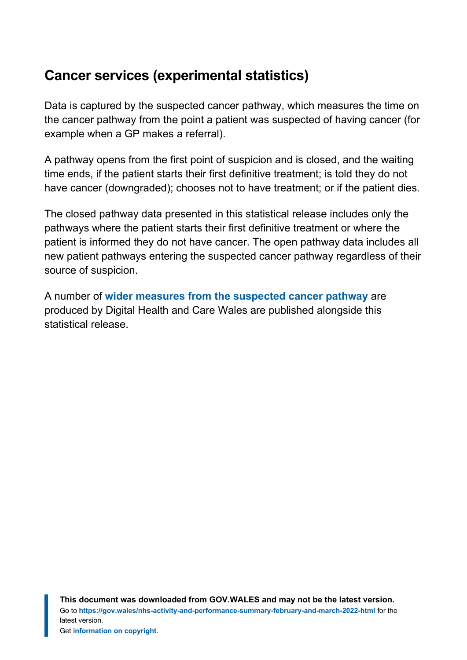### **Cancer services (experimental statistics)**

Data is captured by the suspected cancer pathway, which measures the time on the cancer pathway from the point a patient was suspected of having cancer (for example when a GP makes a referral).

A pathway opens from the first point of suspicion and is closed, and the waiting time ends, if the patient starts their first definitive treatment; is told they do not have cancer (downgraded); chooses not to have treatment; or if the patient dies.

The closed pathway data presented in this statistical release includes only the pathways where the patient starts their first definitive treatment or where the patient is informed they do not have cancer. The open pathway data includes all new patient pathways entering the suspected cancer pathway regardless of their source of suspicion.

A number of **[wider measures from the suspected cancer pathway](https://gov.wales/suspected-cancer-pathway-waiting-times-interactive-dashboard)** are produced by Digital Health and Care Wales are published alongside this statistical release.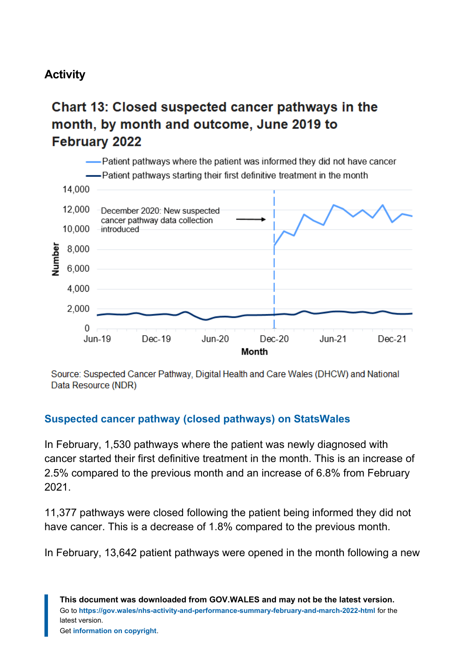### **Activity**

### Chart 13: Closed suspected cancer pathways in the month, by month and outcome, June 2019 to **February 2022**



Source: Suspected Cancer Pathway, Digital Health and Care Wales (DHCW) and National Data Resource (NDR)

#### **[Suspected cancer pathway \(closed pathways\) on StatsWales](https://statswales.gov.wales/Catalogue/Health-and-Social-Care/NHS-Hospital-Waiting-Times/Cancer-Waiting-Times/Monthly/)**

In February, 1,530 pathways where the patient was newly diagnosed with cancer started their first definitive treatment in the month. This is an increase of 2.5% compared to the previous month and an increase of 6.8% from February 2021.

11,377 pathways were closed following the patient being informed they did not have cancer. This is a decrease of 1.8% compared to the previous month.

In February, 13,642 patient pathways were opened in the month following a new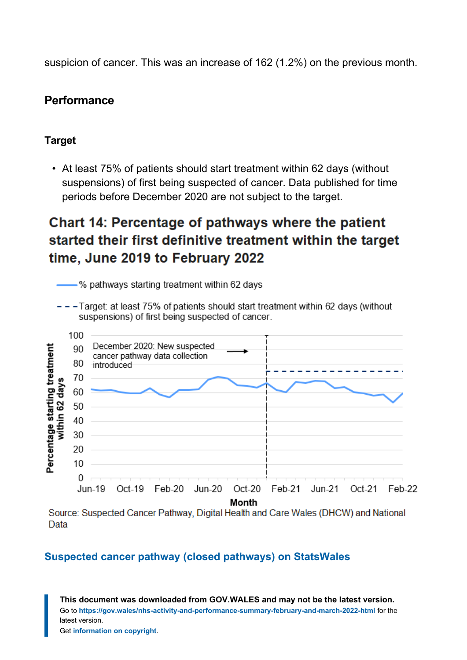suspicion of cancer. This was an increase of 162 (1.2%) on the previous month.

#### **Performance**

#### **Target**

• At least 75% of patients should start treatment within 62 days (without suspensions) of first being suspected of cancer. Data published for time periods before December 2020 are not subject to the target.

### Chart 14: Percentage of pathways where the patient started their first definitive treatment within the target time, June 2019 to February 2022

-% pathways starting treatment within 62 days

- - - Target: at least 75% of patients should start treatment within 62 days (without suspensions) of first being suspected of cancer.



Source: Suspected Cancer Pathway, Digital Health and Care Wales (DHCW) and National Data

#### **[Suspected cancer pathway \(closed pathways\) on StatsWales](https://statswales.gov.wales/Catalogue/Health-and-Social-Care/NHS-Hospital-Waiting-Times/Cancer-Waiting-Times/Monthly/)**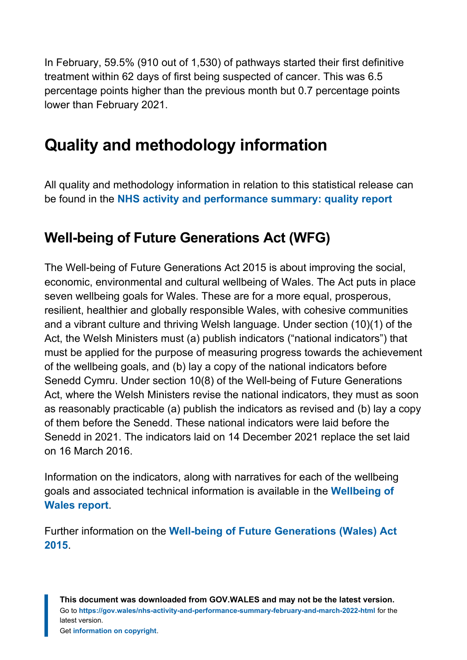In February, 59.5% (910 out of 1,530) of pathways started their first definitive treatment within 62 days of first being suspected of cancer. This was 6.5 percentage points higher than the previous month but 0.7 percentage points lower than February 2021.

# <span id="page-22-0"></span>**Quality and methodology information**

All quality and methodology information in relation to this statistical release can be found in the **[NHS activity and performance summary: quality report](https://gov.wales/nhs-activity-and-performance-summary-quality-report)**

### **Well-being of Future Generations Act (WFG)**

The Well-being of Future Generations Act 2015 is about improving the social, economic, environmental and cultural wellbeing of Wales. The Act puts in place seven wellbeing goals for Wales. These are for a more equal, prosperous, resilient, healthier and globally responsible Wales, with cohesive communities and a vibrant culture and thriving Welsh language. Under section (10)(1) of the Act, the Welsh Ministers must (a) publish indicators ("national indicators") that must be applied for the purpose of measuring progress towards the achievement of the wellbeing goals, and (b) lay a copy of the national indicators before Senedd Cymru. Under section 10(8) of the Well-being of Future Generations Act, where the Welsh Ministers revise the national indicators, they must as soon as reasonably practicable (a) publish the indicators as revised and (b) lay a copy of them before the Senedd. These national indicators were laid before the Senedd in 2021. The indicators laid on 14 December 2021 replace the set laid on 16 March 2016.

Information on the indicators, along with narratives for each of the wellbeing goals and associated technical information is available in the **[Wellbeing of](https://gov.wales/wellbeing-wales) [Wales report](https://gov.wales/wellbeing-wales)**.

Further information on the **[Well-being of Future Generations \(Wales\) Act](https://gov.wales/well-being-future-generations-wales-act-2015-guidance) [2015](https://gov.wales/well-being-future-generations-wales-act-2015-guidance)**.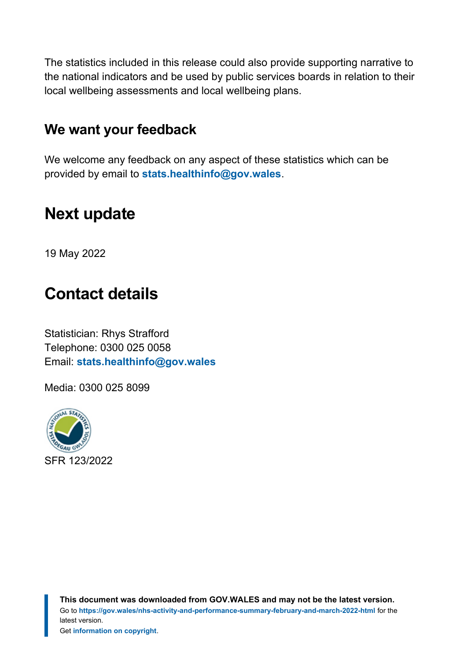The statistics included in this release could also provide supporting narrative to the national indicators and be used by public services boards in relation to their local wellbeing assessments and local wellbeing plans.

### **We want your feedback**

We welcome any feedback on any aspect of these statistics which can be provided by email to **[stats.healthinfo@gov.wales](mailto:stats.healthinfo@gov.wales)**.

# <span id="page-23-0"></span>**Next update**

19 May 2022

# <span id="page-23-1"></span>**Contact details**

Statistician: Rhys Strafford Telephone: 0300 025 0058 Email: **[stats.healthinfo@gov.wales](mailto:stats.healthinfo@gov.wales)**

Media: 0300 025 8099